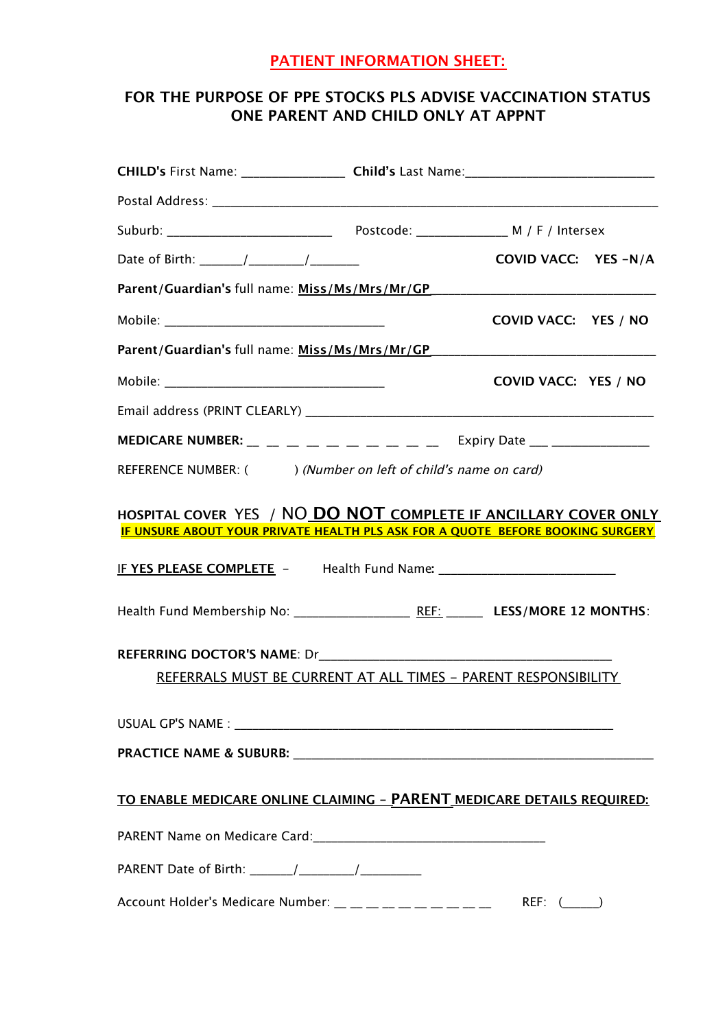## **PATIENT INFORMATION SHEET:**

# **FOR THE PURPOSE OF PPE STOCKS PLS ADVISE VACCINATION STATUS ONE PARENT AND CHILD ONLY AT APPNT**

|                                                                                  | COVID VACC: YES -N/A |  |
|----------------------------------------------------------------------------------|----------------------|--|
| Parent/Guardian's full name: Miss/Ms/Mrs/Mr/GP__________________________________ |                      |  |
|                                                                                  | COVID VACC: YES / NO |  |
|                                                                                  |                      |  |
|                                                                                  | COVID VACC: YES / NO |  |
|                                                                                  |                      |  |
|                                                                                  |                      |  |
| REFERENCE NUMBER: ( ) (Number on left of child's name on card)                   |                      |  |
| IF UNSURE ABOUT YOUR PRIVATE HEALTH PLS ASK FOR A QUOTE BEFORE BOOKING SURGERY   |                      |  |
|                                                                                  |                      |  |
|                                                                                  |                      |  |
| REFERRALS MUST BE CURRENT AT ALL TIMES - PARENT RESPONSIBILITY                   |                      |  |
|                                                                                  |                      |  |
|                                                                                  |                      |  |
| TO ENABLE MEDICARE ONLINE CLAIMING - PARENT MEDICARE DETAILS REQUIRED:           |                      |  |
|                                                                                  |                      |  |
|                                                                                  |                      |  |
| Account Holder's Medicare Number: _ _ _ _ _ _ _ _ _ _ _ _                        | REF: (               |  |